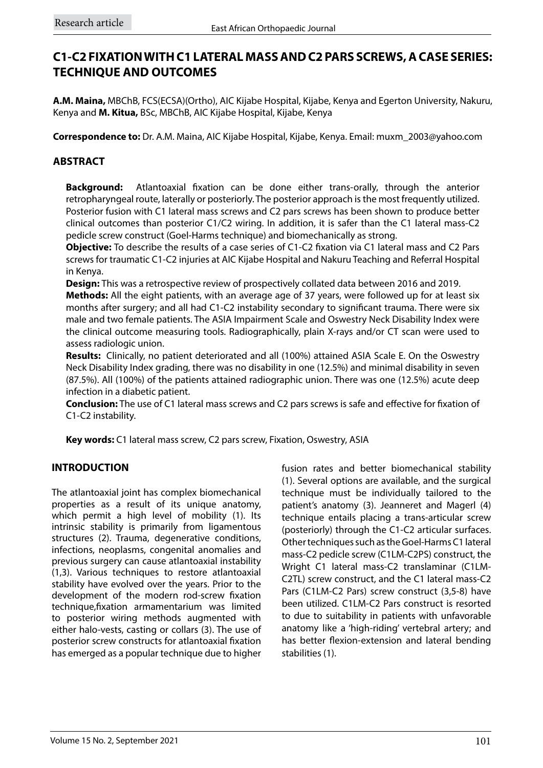# **C1-C2 FIXATION WITH C1 LATERAL MASS AND C2 PARS SCREWS, A CASE SERIES: TECHNIQUE AND OUTCOMES**

**A.M. Maina,** MBChB, FCS(ECSA)(Ortho), AIC Kijabe Hospital, Kijabe, Kenya and Egerton University, Nakuru, Kenya and **M. Kitua,** BSc, MBChB, AIC Kijabe Hospital, Kijabe, Kenya

**Correspondence to:** Dr. A.M. Maina, AIC Kijabe Hospital, Kijabe, Kenya. Email: muxm\_2003@yahoo.com

# **ABSTRACT**

**Background:** Atlantoaxial fixation can be done either trans-orally, through the anterior retropharyngeal route, laterally or posteriorly. The posterior approach is the most frequently utilized. Posterior fusion with C1 lateral mass screws and C2 pars screws has been shown to produce better clinical outcomes than posterior C1/C2 wiring. In addition, it is safer than the C1 lateral mass-C2 pedicle screw construct (Goel-Harms technique) and biomechanically as strong.

**Objective:** To describe the results of a case series of C1-C2 fixation via C1 lateral mass and C2 Pars screws for traumatic C1-C2 injuries at AIC Kijabe Hospital and Nakuru Teaching and Referral Hospital in Kenya.

**Design:** This was a retrospective review of prospectively collated data between 2016 and 2019.

**Methods:** All the eight patients, with an average age of 37 years, were followed up for at least six months after surgery; and all had C1-C2 instability secondary to significant trauma. There were six male and two female patients. The ASIA Impairment Scale and Oswestry Neck Disability Index were the clinical outcome measuring tools. Radiographically, plain X-rays and/or CT scan were used to assess radiologic union.

**Results:** Clinically, no patient deteriorated and all (100%) attained ASIA Scale E. On the Oswestry Neck Disability Index grading, there was no disability in one (12.5%) and minimal disability in seven (87.5%). All (100%) of the patients attained radiographic union. There was one (12.5%) acute deep infection in a diabetic patient.

**Conclusion:** The use of C1 lateral mass screws and C2 pars screws is safe and effective for fixation of C1-C2 instability.

**Key words:** C1 lateral mass screw, C2 pars screw, Fixation, Oswestry, ASIA

# **INTRODUCTION**

The atlantoaxial joint has complex biomechanical properties as a result of its unique anatomy, which permit a high level of mobility (1). Its intrinsic stability is primarily from ligamentous structures (2). Trauma, degenerative conditions, infections, neoplasms, congenital anomalies and previous surgery can cause atlantoaxial instability (1,3). Various techniques to restore atlantoaxial stability have evolved over the years. Prior to the development of the modern rod-screw fixation technique,fixation armamentarium was limited to posterior wiring methods augmented with either halo-vests, casting or collars (3). The use of posterior screw constructs for atlantoaxial fixation has emerged as a popular technique due to higher fusion rates and better biomechanical stability (1). Several options are available, and the surgical technique must be individually tailored to the patient's anatomy (3). Jeanneret and Magerl (4) technique entails placing a trans-articular screw (posteriorly) through the C1-C2 articular surfaces. Other techniques such as the Goel-Harms C1 lateral mass-C2 pedicle screw (C1LM-C2PS) construct, the Wright C1 lateral mass-C2 translaminar (C1LM-C2TL) screw construct, and the C1 lateral mass-C2 Pars (C1LM-C2 Pars) screw construct (3,5-8) have been utilized. C1LM-C2 Pars construct is resorted to due to suitability in patients with unfavorable anatomy like a 'high-riding' vertebral artery; and has better flexion-extension and lateral bending stabilities (1).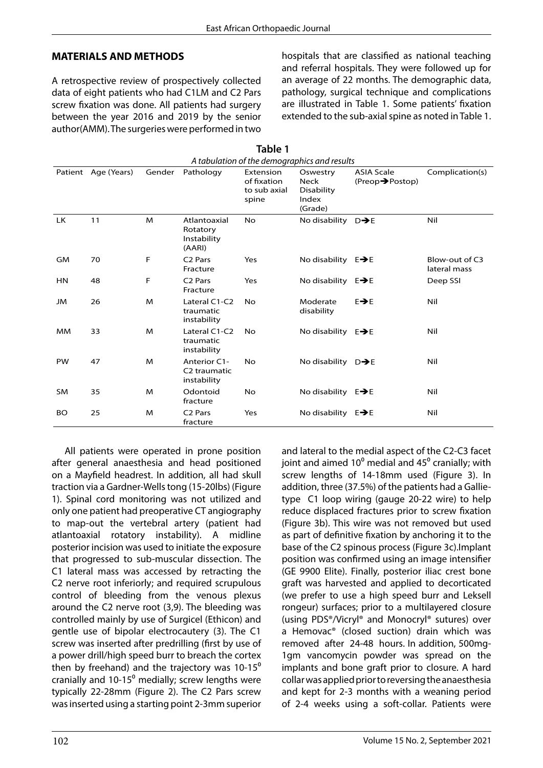### **MATERIALS AND METHODS**

A retrospective review of prospectively collected data of eight patients who had C1LM and C2 Pars screw fixation was done. All patients had surgery between the year 2016 and 2019 by the senior author(AMM). The surgeries were performed in two hospitals that are classified as national teaching and referral hospitals. They were followed up for an average of 22 months. The demographic data, pathology, surgical technique and complications are illustrated in Table 1. Some patients' fixation extended to the sub-axial spine as noted in Table 1.

| A tabulation of the demographics and results |                     |        |                                                         |                                                   |                                                           |                                                   |                                |
|----------------------------------------------|---------------------|--------|---------------------------------------------------------|---------------------------------------------------|-----------------------------------------------------------|---------------------------------------------------|--------------------------------|
|                                              | Patient Age (Years) | Gender | Pathology                                               | Extension<br>of fixation<br>to sub axial<br>spine | Oswestry<br><b>Neck</b><br>Disability<br>Index<br>(Grade) | <b>ASIA Scale</b><br>$(Preop \rightarrow Postop)$ | Complication(s)                |
| <b>LK</b>                                    | 11                  | M      | Atlantoaxial<br>Rotatory<br>Instability<br>(AARI)       | <b>No</b>                                         | No disability $D\rightarrow E$                            |                                                   | Nil                            |
| GM                                           | 70                  | F      | C <sub>2</sub> Pars<br>Fracture                         | Yes                                               | No disability $E \rightarrow E$                           |                                                   | Blow-out of C3<br>lateral mass |
| <b>HN</b>                                    | 48                  | F      | C <sub>2</sub> Pars<br>Fracture                         | Yes                                               | No disability $E \rightarrow E$                           |                                                   | Deep SSI                       |
| JM                                           | 26                  | M      | Lateral C1-C2<br>traumatic<br>instability               | <b>No</b>                                         | Moderate<br>disability                                    | $E \rightarrow E$                                 | Nil                            |
| <b>MM</b>                                    | 33                  | M      | Lateral C1-C2<br>traumatic<br>instability               | No.                                               | No disability $E \rightarrow E$                           |                                                   | Nil                            |
| <b>PW</b>                                    | 47                  | M      | Anterior C1-<br>C <sub>2</sub> traumatic<br>instability | N <sub>o</sub>                                    | No disability $D\rightarrow E$                            |                                                   | Nil                            |
| <b>SM</b>                                    | 35                  | M      | Odontoid<br>fracture                                    | No.                                               | No disability $E \rightarrow E$                           |                                                   | Nil                            |
| <b>BO</b>                                    | 25                  | M      | C <sub>2</sub> Pars<br>fracture                         | Yes                                               | No disability $E \rightarrow E$                           |                                                   | Nil                            |

**Table 1**

All patients were operated in prone position after general anaesthesia and head positioned on a Mayfield headrest. In addition, all had skull traction via a Gardner-Wells tong (15-20lbs) (Figure 1). Spinal cord monitoring was not utilized and only one patient had preoperative CT angiography to map-out the vertebral artery (patient had atlantoaxial rotatory instability). A midline posterior incision was used to initiate the exposure that progressed to sub-muscular dissection. The C1 lateral mass was accessed by retracting the C2 nerve root inferiorly; and required scrupulous control of bleeding from the venous plexus around the C2 nerve root (3,9). The bleeding was controlled mainly by use of Surgicel (Ethicon) and gentle use of bipolar electrocautery (3). The C1 screw was inserted after predrilling (first by use of a power drill/high speed burr to breach the cortex then by freehand) and the trajectory was  $10-15^{\circ}$ cranially and  $10-15^{\circ}$  medially; screw lengths were typically 22-28mm (Figure 2). The C2 Pars screw was inserted using a starting point 2-3mm superior and lateral to the medial aspect of the C2-C3 facet joint and aimed  $10^{\circ}$  medial and  $45^{\circ}$  cranially; with screw lengths of 14-18mm used (Figure 3). In addition, three (37.5%) of the patients had a Gallietype C1 loop wiring (gauge 20-22 wire) to help reduce displaced fractures prior to screw fixation (Figure 3b). This wire was not removed but used as part of definitive fixation by anchoring it to the base of the C2 spinous process (Figure 3c).Implant position was confirmed using an image intensifier (GE 9900 Elite). Finally, posterior iliac crest bone graft was harvested and applied to decorticated (we prefer to use a high speed burr and Leksell rongeur) surfaces; prior to a multilayered closure (using PDS®/Vicryl® and Monocryl® sutures) over a Hemovac® (closed suction) drain which was removed after 24-48 hours. In addition, 500mg-1gm vancomycin powder was spread on the implants and bone graft prior to closure. A hard collar was applied prior to reversing the anaesthesia and kept for 2-3 months with a weaning period of 2-4 weeks using a soft-collar. Patients were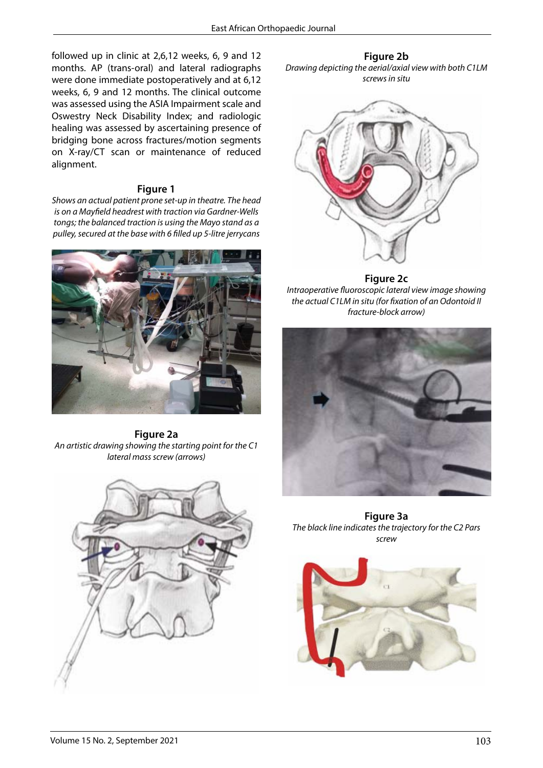followed up in clinic at 2,6,12 weeks, 6, 9 and 12 months. AP (trans-oral) and lateral radiographs were done immediate postoperatively and at 6,12 weeks, 6, 9 and 12 months. The clinical outcome was assessed using the ASIA Impairment scale and Oswestry Neck Disability Index; and radiologic healing was assessed by ascertaining presence of bridging bone across fractures/motion segments on X-ray/CT scan or maintenance of reduced alignment.

#### **Figure 1 Figure 1**

*Shows an actual patient prone set-up in theatre. The head*  $\frac{1}{2}$ *is on a Mayfield headrest with traction via Gardner-Wells*  **Figure 2**  *tongs; the balanced traction is using the Mayo stand as a* 



**Figure 2a** *An artistic drawing showing the starting point for the C1 lateral mass screw (arrows)*



**Figure 2b** *Drawing depicting the aerial/axial view with both C1LM screws in situ*



**Figure 2c** *Intraoperative fluoroscopic lateral view image showing the actual C1LM in situ (for fixation of an Odontoid II fracture-block arrow)*



**Figure 3a** *The black line indicates the trajectory for the C2 Pars screw*

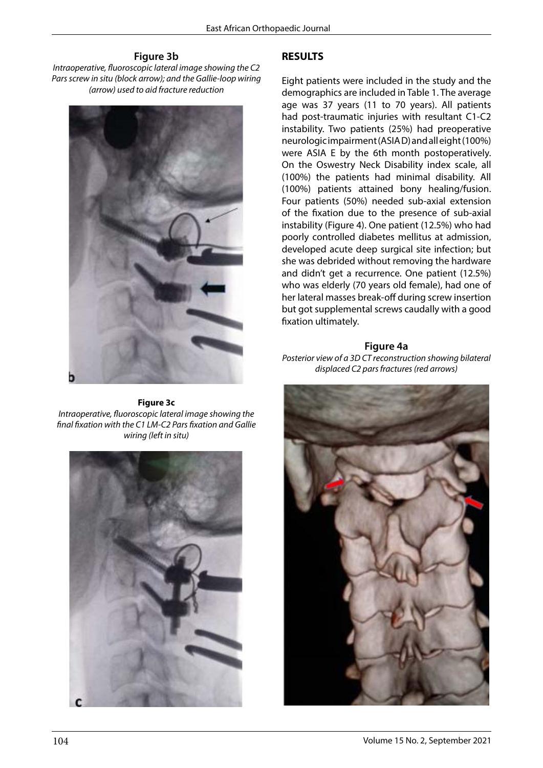#### **Figure 3b**

*Intraoperative, fluoroscopic lateral image showing the C2 Pars screw in situ (block arrow); and the Gallie-loop wiring (arrow) used to aid fracture reduction*



**Figure 3c** *Intraoperative, fluoroscopic lateral image showing the final fixation with the C1 LM-C2 Pars fixation and Gallie wiring (left in situ)*



### **RESULTS**

Eight patients were included in the study and the demographics are included in Table 1. The average age was 37 years (11 to 70 years). All patients had post-traumatic injuries with resultant C1-C2 instability. Two patients (25%) had preoperative neurologic impairment (ASIA D) and all eight (100%) were ASIA E by the 6th month postoperatively. On the Oswestry Neck Disability index scale, all (100%) the patients had minimal disability. All (100%) patients attained bony healing/fusion. Four patients (50%) needed sub-axial extension of the fixation due to the presence of sub-axial instability (Figure 4). One patient (12.5%) who had poorly controlled diabetes mellitus at admission, developed acute deep surgical site infection; but she was debrided without removing the hardware and didn't get a recurrence. One patient (12.5%) who was elderly (70 years old female), had one of her lateral masses break-off during screw insertion but got supplemental screws caudally with a good fixation ultimately.

#### **Figure 4a**

*Posterior view of a 3D CT reconstruction showing bilateral displaced C2 pars fractures (red arrows)*

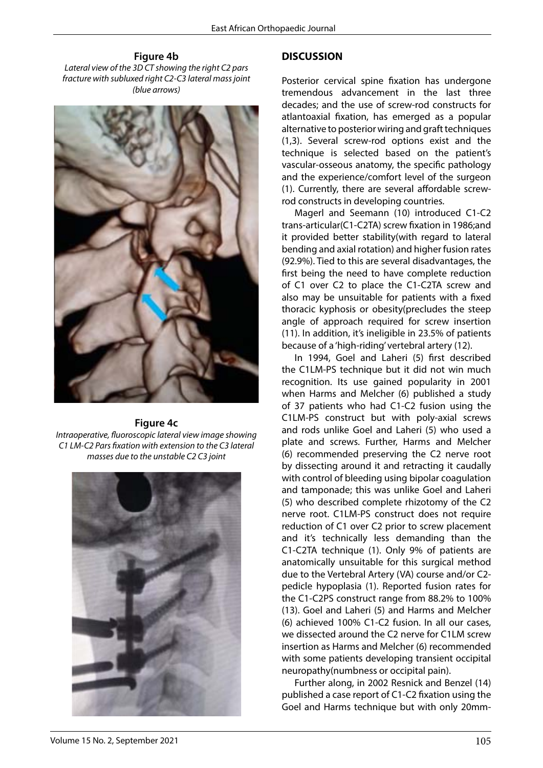**Figure 4b** *Lateral view of the 3D CT showing the right C2 pars fracture with subluxed right C2-C3 lateral mass joint (blue arrows)*



#### **Figure 4c** *Intraoperative, fluoroscopic lateral view image showing C1 LM-C2 Pars fixation with extension to the C3 lateral masses due to the unstable C2 C3 joint*



#### **DISCUSSION**

Posterior cervical spine fixation has undergone tremendous advancement in the last three decades; and the use of screw-rod constructs for atlantoaxial fixation, has emerged as a popular alternative to posterior wiring and graft techniques (1,3). Several screw-rod options exist and the technique is selected based on the patient's vascular-osseous anatomy, the specific pathology and the experience/comfort level of the surgeon (1). Currently, there are several affordable screwrod constructs in developing countries.

Magerl and Seemann (10) introduced C1-C2 trans-articular(C1-C2TA) screw fixation in 1986;and it provided better stability(with regard to lateral bending and axial rotation) and higher fusion rates (92.9%). Tied to this are several disadvantages, the first being the need to have complete reduction of C1 over C2 to place the C1-C2TA screw and also may be unsuitable for patients with a fixed thoracic kyphosis or obesity(precludes the steep angle of approach required for screw insertion (11). In addition, it's ineligible in 23.5% of patients because of a 'high-riding' vertebral artery (12).

In 1994, Goel and Laheri (5) first described the C1LM-PS technique but it did not win much recognition. Its use gained popularity in 2001 when Harms and Melcher (6) published a study of 37 patients who had C1-C2 fusion using the C1LM-PS construct but with poly-axial screws and rods unlike Goel and Laheri (5) who used a plate and screws. Further, Harms and Melcher (6) recommended preserving the C2 nerve root by dissecting around it and retracting it caudally with control of bleeding using bipolar coagulation and tamponade; this was unlike Goel and Laheri (5) who described complete rhizotomy of the C2 nerve root. C1LM-PS construct does not require reduction of C1 over C2 prior to screw placement and it's technically less demanding than the C1-C2TA technique (1). Only 9% of patients are anatomically unsuitable for this surgical method due to the Vertebral Artery (VA) course and/or C2 pedicle hypoplasia (1). Reported fusion rates for the C1-C2PS construct range from 88.2% to 100% (13). Goel and Laheri (5) and Harms and Melcher (6) achieved 100% C1-C2 fusion. In all our cases, we dissected around the C2 nerve for C1LM screw insertion as Harms and Melcher (6) recommended with some patients developing transient occipital neuropathy(numbness or occipital pain).

Further along, in 2002 Resnick and Benzel (14) published a case report of C1-C2 fixation using the Goel and Harms technique but with only 20mm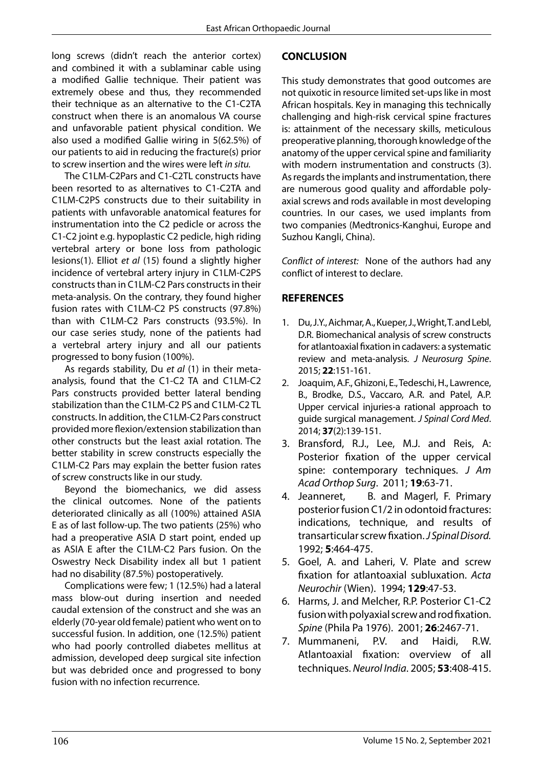long screws (didn't reach the anterior cortex) and combined it with a sublaminar cable using a modified Gallie technique. Their patient was extremely obese and thus, they recommended their technique as an alternative to the C1-C2TA construct when there is an anomalous VA course and unfavorable patient physical condition. We also used a modified Gallie wiring in 5(62.5%) of our patients to aid in reducing the fracture(s) prior to screw insertion and the wires were left *in situ.* 

The C1LM-C2Pars and C1-C2TL constructs have been resorted to as alternatives to C1-C2TA and C1LM-C2PS constructs due to their suitability in patients with unfavorable anatomical features for instrumentation into the C2 pedicle or across the C1-C2 joint e.g. hypoplastic C2 pedicle, high riding vertebral artery or bone loss from pathologic lesions(1). Elliot *et al* (15) found a slightly higher incidence of vertebral artery injury in C1LM-C2PS constructs than in C1LM-C2 Pars constructs in their meta-analysis. On the contrary, they found higher fusion rates with C1LM-C2 PS constructs (97.8%) than with C1LM-C2 Pars constructs (93.5%). In our case series study, none of the patients had a vertebral artery injury and all our patients progressed to bony fusion (100%).

As regards stability, Du *et al* (1) in their metaanalysis, found that the C1-C2 TA and C1LM-C2 Pars constructs provided better lateral bending stabilization than the C1LM-C2 PS and C1LM-C2 TL constructs. In addition, the C1LM-C2 Pars construct provided more flexion/extension stabilization than other constructs but the least axial rotation. The better stability in screw constructs especially the C1LM-C2 Pars may explain the better fusion rates of screw constructs like in our study.

Beyond the biomechanics, we did assess the clinical outcomes. None of the patients deteriorated clinically as all (100%) attained ASIA E as of last follow-up. The two patients (25%) who had a preoperative ASIA D start point, ended up as ASIA E after the C1LM-C2 Pars fusion. On the Oswestry Neck Disability index all but 1 patient had no disability (87.5%) postoperatively.

Complications were few; 1 (12.5%) had a lateral mass blow-out during insertion and needed caudal extension of the construct and she was an elderly (70-year old female) patient who went on to successful fusion. In addition, one (12.5%) patient who had poorly controlled diabetes mellitus at admission, developed deep surgical site infection but was debrided once and progressed to bony fusion with no infection recurrence.

## **CONCLUSION**

This study demonstrates that good outcomes are not quixotic in resource limited set-ups like in most African hospitals. Key in managing this technically challenging and high-risk cervical spine fractures is: attainment of the necessary skills, meticulous preoperative planning, thorough knowledge of the anatomy of the upper cervical spine and familiarity with modern instrumentation and constructs (3). As regards the implants and instrumentation, there are numerous good quality and affordable polyaxial screws and rods available in most developing countries. In our cases, we used implants from two companies (Medtronics-Kanghui, Europe and Suzhou Kangli, China).

*Conflict of interest:* None of the authors had any conflict of interest to declare.

### **REFERENCES**

- 1. Du, J.Y., Aichmar, A., Kueper, J., Wright, T. and Lebl, D.R. Biomechanical analysis of screw constructs for atlantoaxial fixation in cadavers: a systematic review and meta-analysis. *J Neurosurg Spine*. 2015; **22**:151-161.
- 2. Joaquim, A.F., Ghizoni, E., Tedeschi, H., Lawrence, B., Brodke, D.S., Vaccaro, A.R. and Patel, A.P. Upper cervical injuries-a rational approach to guide surgical management. *J Spinal Cord Med*. 2014; **37**(2):139-151.
- 3. Bransford, R.J., Lee, M.J. and Reis, A: Posterior fixation of the upper cervical spine: contemporary techniques. *J Am Acad Orthop Surg*. 2011; **19**:63-71.
- 4. Jeanneret, B. and Magerl, F. Primary posterior fusion C1/2 in odontoid fractures: indications, technique, and results of transarticular screw fixation. *J Spinal Disord.*  1992; **5**:464-475.
- 5. Goel, A. and Laheri, V. Plate and screw fixation for atlantoaxial subluxation. *Acta Neurochir* (Wien). 1994; **129**:47-53.
- 6. Harms, J. and Melcher, R.P. Posterior C1-C2 fusion with polyaxial screw and rod fixation. *Spine* (Phila Pa 1976). 2001; **26**:2467-71.
- 7. Mummaneni, P.V. and Haidi, R.W. Atlantoaxial fixation: overview of all techniques. *Neurol India*. 2005; **53**:408-415.